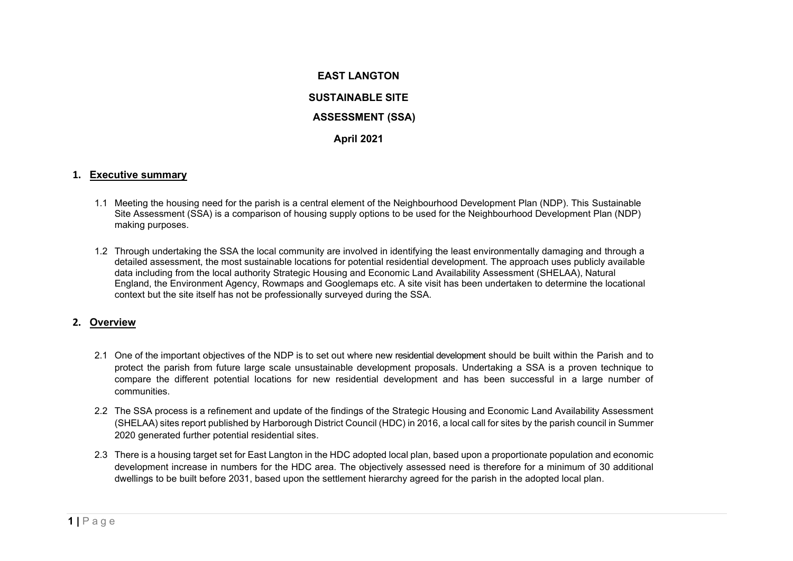# **EAST LANGTON SUSTAINABLE SITE ASSESSMENT (SSA) April 2021**

#### **1. Executive summary**

- 1.1 Meeting the housing need for the parish is a central element of the Neighbourhood Development Plan (NDP). This Sustainable Site Assessment (SSA) is a comparison of housing supply options to be used for the Neighbourhood Development Plan (NDP) making purposes.
- 1.2 Through undertaking the SSA the local community are involved in identifying the least environmentally damaging and through a detailed assessment, the most sustainable locations for potential residential development. The approach uses publicly available data including from the local authority Strategic Housing and Economic Land Availability Assessment (SHELAA), Natural England, the Environment Agency, Rowmaps and Googlemaps etc. A site visit has been undertaken to determine the locational context but the site itself has not be professionally surveyed during the SSA.

#### **2. Overview**

- 2.1 One of the important objectives of the NDP is to set out where new residential development should be built within the Parish and to protect the parish from future large scale unsustainable development proposals. Undertaking a SSA is a proven technique to compare the different potential locations for new residential development and has been successful in a large number of communities.
- 2.2 The SSA process is a refinement and update of the findings of the Strategic Housing and Economic Land Availability Assessment (SHELAA) sites report published by Harborough District Council (HDC) in 2016, a local call for sites by the parish council in Summer 2020 generated further potential residential sites.
- 2.3 There is a housing target set for East Langton in the HDC adopted local plan, based upon a proportionate population and economic development increase in numbers for the HDC area. The objectively assessed need is therefore for a minimum of 30 additional dwellings to be built before 2031, based upon the settlement hierarchy agreed for the parish in the adopted local plan.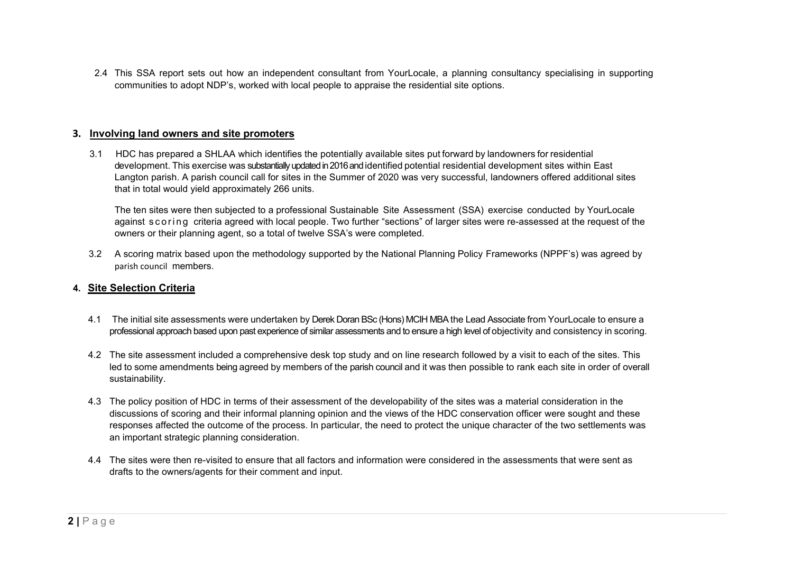2.4 This SSA report sets out how an independent consultant from YourLocale, a planning consultancy specialising in supporting communities to adopt NDP's, worked with local people to appraise the residential site options.

# **3. Involving land owners and site promoters**

3.1 HDC has prepared a SHLAA which identifies the potentially available sites put forward by landowners for residential development. This exercise was substantially updated in 2016 and identified potential residential development sites within East Langton parish. A parish council call for sites in the Summer of 2020 was very successful, landowners offered additional sites that in total would yield approximately 266 units.

The ten sites were then subjected to a professional Sustainable Site Assessment (SSA) exercise conducted by YourLocale against scoring criteria agreed with local people. Two further "sections" of larger sites were re-assessed at the request of the owners or their planning agent, so a total of twelve SSA's were completed.

 3.2 A scoring matrix based upon the methodology supported by the National Planning Policy Frameworks (NPPF's) was agreed by parish council members.

# **4. Site Selection Criteria**

- 4.1 The initial site assessments were undertaken by Derek Doran BSc (Hons) MCIH MBA the Lead Associate from YourLocale to ensure a professional approach based upon past experience of similar assessments and to ensure a high level of objectivity and consistency in scoring.
- 4.2 The site assessment included a comprehensive desk top study and on line research followed by a visit to each of the sites. This led to some amendments being agreed by members of the parish council and it was then possible to rank each site in order of overall sustainability.
- 4.3 The policy position of HDC in terms of their assessment of the developability of the sites was a material consideration in the discussions of scoring and their informal planning opinion and the views of the HDC conservation officer were sought and these responses affected the outcome of the process. In particular, the need to protect the unique character of the two settlements was an important strategic planning consideration.
- 4.4 The sites were then re-visited to ensure that all factors and information were considered in the assessments that were sent as drafts to the owners/agents for their comment and input.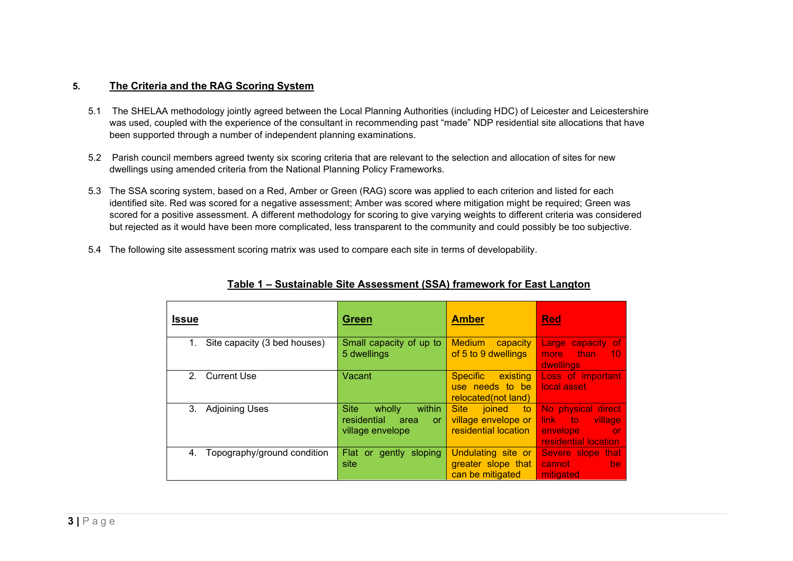# **5. The Criteria and the RAG Scoring System**

- 5.1 The SHELAA methodology jointly agreed between the Local Planning Authorities (including HDC) of Leicester and Leicestershire was used, coupled with the experience of the consultant in recommending past "made" NDP residential site allocations that have been supported through a number of independent planning examinations.
- 5.2 Parish council members agreed twenty six scoring criteria that are relevant to the selection and allocation of sites for new dwellings using amended criteria from the National Planning Policy Frameworks.
- 5.3 The SSA scoring system, based on a Red, Amber or Green (RAG) score was applied to each criterion and listed for each identified site. Red was scored for a negative assessment; Amber was scored where mitigation might be required; Green was scored for a positive assessment. A different methodology for scoring to give varying weights to different criteria was considered but rejected as it would have been more complicated, less transparent to the community and could possibly be too subjective.
- 5.4 The following site assessment scoring matrix was used to compare each site in terms of developability.

| <b>Issue</b>                       | <b>Green</b>                                                                            | <b>Amber</b>                                                               | <b>Red</b>                                                                                  |
|------------------------------------|-----------------------------------------------------------------------------------------|----------------------------------------------------------------------------|---------------------------------------------------------------------------------------------|
| Site capacity (3 bed houses)<br>1. | Small capacity of up to<br>5 dwellings                                                  | <b>Medium</b><br>capacity<br>of 5 to 9 dwellings                           | Large capacity of<br>— than⊹<br>more<br>10<br>dwellings                                     |
| 2. Current Use                     | Vacant                                                                                  | existing<br><b>Specific</b><br>use needs to be<br>relocated(not land)      | Loss of important<br>local asset                                                            |
| <b>Adjoining Uses</b><br>3.        | within<br><b>Site</b><br>wholly<br>residential<br>area<br><b>or</b><br>village envelope | <b>Site</b><br>joined<br>to<br>village envelope or<br>residential location | No physical direct<br>link to<br>village<br>envelope<br>– or<br><b>residential location</b> |
| Topography/ground condition<br>4.  | Flat or gently sloping<br>site                                                          | Undulating site or<br>greater slope that<br>can be mitigated               | Severe slope that<br>cannot<br>be.<br>mitigated                                             |

# **Table 1 – Sustainable Site Assessment (SSA) framework for East Langton**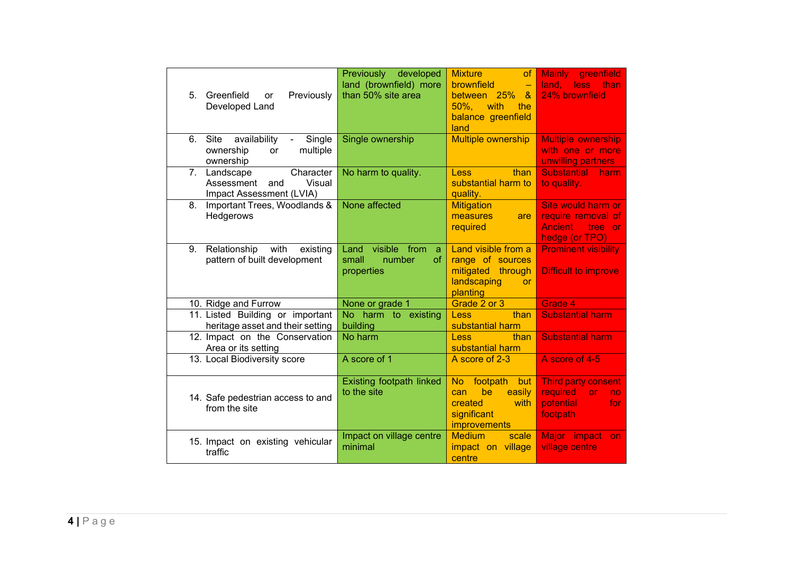| Greenfield<br>Previously<br>5.<br>or<br>Developed Land                                             | Previously developed<br>land (brownfield) more<br>than 50% site area       | <b>Mixture</b><br><sub>of</sub><br>brownfield<br>$\equiv$<br>between 25%<br>$\alpha$<br>$50\%$ .<br>with<br>the<br>balance greenfield<br>land | <b>Mainly</b><br>greenfield<br>land.<br>less<br>than<br>24% brownfield                            |
|----------------------------------------------------------------------------------------------------|----------------------------------------------------------------------------|-----------------------------------------------------------------------------------------------------------------------------------------------|---------------------------------------------------------------------------------------------------|
| Single<br>6.<br>Site<br>availability<br>$\blacksquare$<br>multiple<br>ownership<br>or<br>ownership | Single ownership                                                           | <b>Multiple ownership</b>                                                                                                                     | <b>Multiple ownership</b><br>with one or more<br>unwilling partners                               |
| Character<br>7.<br>Landscape<br>Visual<br>Assessment<br>and<br>Impact Assessment (LVIA)            | No harm to quality.                                                        | than<br><b>Less</b><br>substantial harm to<br>quality.                                                                                        | <b>Substantial</b><br>harm<br>to quality.                                                         |
| Important Trees, Woodlands &<br>8.<br>Hedgerows                                                    | None affected                                                              | <b>Mitigation</b><br>measures<br>are<br>required                                                                                              | Site would harm or<br>require removal of<br><b>Ancient</b><br>tree<br><b>Or</b><br>hedge (or TPO) |
| Relationship<br>with<br>9.<br>existing<br>pattern of built development                             | visible<br>from<br>Land<br>a<br>small<br>number<br><b>of</b><br>properties | Land visible from a<br>range of sources<br>mitigated<br>through<br>landscaping<br><b>or</b><br>planting                                       | <b>Prominent visibility</b><br>Difficult to improve                                               |
| 10. Ridge and Furrow                                                                               | None or grade 1                                                            | Grade 2 or 3                                                                                                                                  | Grade 4                                                                                           |
| 11. Listed Building or important<br>heritage asset and their setting                               | No harm to existing<br>building                                            | than<br><b>Less</b><br>substantial harm                                                                                                       | <b>Substantial harm</b>                                                                           |
| 12. Impact on the Conservation<br>Area or its setting                                              | No harm                                                                    | Less<br>than<br>substantial harm                                                                                                              | <b>Substantial harm</b>                                                                           |
| 13. Local Biodiversity score                                                                       | A score of 1                                                               | A score of 2-3                                                                                                                                | A score of 4-5                                                                                    |
| 14. Safe pedestrian access to and<br>from the site                                                 | Existing footpath linked<br>to the site                                    | footpath<br>No.<br>but<br>be<br>easily<br>can<br>created<br>with<br>significant<br>improvements                                               | <b>Third party consent</b><br><b>required</b><br><b>or</b><br>no.<br>potential<br>for<br>footpath |
| 15. Impact on existing vehicular<br>traffic                                                        | Impact on village centre<br>minimal                                        | <b>Medium</b><br>scale<br>impact on village<br>centre                                                                                         | Major impact<br>on.<br>village centre                                                             |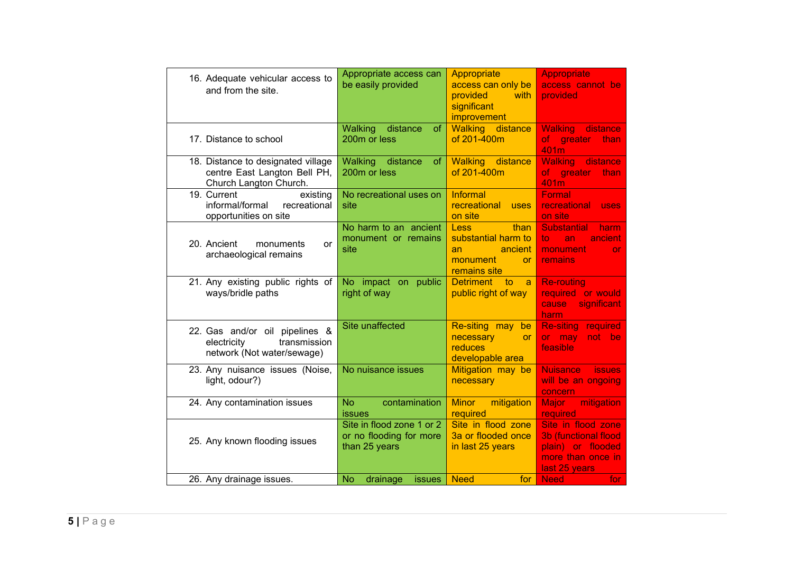| 16. Adequate vehicular access to<br>and from the site.                                       | Appropriate access can<br>be easily provided                          | Appropriate<br>access can only be<br>provided<br>with<br>significant<br>improvement                  | <b>Appropriate</b><br>access cannot be<br>provided                                                            |
|----------------------------------------------------------------------------------------------|-----------------------------------------------------------------------|------------------------------------------------------------------------------------------------------|---------------------------------------------------------------------------------------------------------------|
| 17. Distance to school                                                                       | Walking<br>distance<br>of.<br>200m or less                            | <b>Walking</b> distance<br>of 201-400m                                                               | <b>Walking</b> distance<br>greater<br>of.<br>than<br>401m                                                     |
| 18. Distance to designated village<br>centre East Langton Bell PH,<br>Church Langton Church. | Walking<br>distance<br>of<br>200m or less                             | Walking distance<br>of 201-400m                                                                      | <b>Walking</b><br>distance<br>greater<br><b>of</b><br>than<br>401m                                            |
| 19. Current<br>existing<br>informal/formal recreational<br>opportunities on site             | No recreational uses on<br>site                                       | Informal<br>recreational<br>uses<br>on site                                                          | Formal<br>recreational<br><b>uses</b><br>on site                                                              |
| 20. Ancient<br>monuments<br>or<br>archaeological remains                                     | No harm to an ancient<br>monument or remains<br>site                  | than<br><b>Less</b><br>substantial harm to<br>ancient<br>an<br>monument<br><b>or</b><br>remains site | <b>Substantial</b><br>harm<br>to.<br>ancient<br>an<br>monument<br><b>or</b><br>remains                        |
| 21. Any existing public rights of<br>ways/bridle paths                                       | No impact on<br>public<br>right of way                                | <b>Detriment</b><br>to<br>a<br>public right of way                                                   | <b>Re-routing</b><br>required or would<br>significant<br>cause<br>harm                                        |
| 22. Gas and/or oil pipelines &<br>transmission<br>electricity<br>network (Not water/sewage)  | Site unaffected                                                       | Re-siting may<br>be<br>necessary<br><b>or</b><br>reduces<br>developable area                         | <b>Re-siting required</b><br>or may<br>not be<br>feasible                                                     |
| 23. Any nuisance issues (Noise,<br>light, odour?)                                            | No nuisance issues                                                    | Mitigation may be<br>necessary                                                                       | <b>Nuisance</b><br><b>issues</b><br>will be an ongoing<br>concern                                             |
| 24. Any contamination issues                                                                 | contamination<br>N <sub>o</sub><br>issues                             | Minor mitigation<br>required                                                                         | mitigation<br>Major<br>required                                                                               |
| 25. Any known flooding issues                                                                | Site in flood zone 1 or 2<br>or no flooding for more<br>than 25 years | Site in flood zone<br>3a or flooded once<br>in last 25 years                                         | Site in flood zone<br><b>3b (functional flood)</b><br>plain) or flooded<br>more than once in<br>last 25 years |
| 26. Any drainage issues.                                                                     | No<br>drainage<br><i>issues</i>                                       | <b>Need</b><br>for                                                                                   | <b>Need</b><br>for                                                                                            |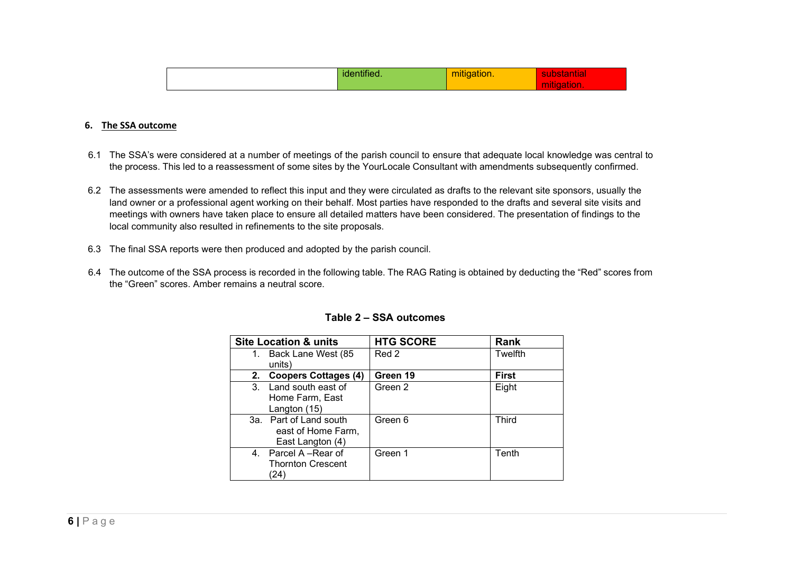|  |  | . |  |
|--|--|---|--|
|--|--|---|--|

#### **6. The SSA outcome**

- 6.1 The SSA's were considered at a number of meetings of the parish council to ensure that adequate local knowledge was central to the process. This led to a reassessment of some sites by the YourLocale Consultant with amendments subsequently confirmed.
- 6.2 The assessments were amended to reflect this input and they were circulated as drafts to the relevant site sponsors, usually the land owner or a professional agent working on their behalf. Most parties have responded to the drafts and several site visits and meetings with owners have taken place to ensure all detailed matters have been considered. The presentation of findings to the local community also resulted in refinements to the site proposals.
- 6.3 The final SSA reports were then produced and adopted by the parish council.
- 6.4 The outcome of the SSA process is recorded in the following table. The RAG Rating is obtained by deducting the "Red" scores from the "Green" scores. Amber remains a neutral score.

|         | <b>Site Location &amp; units</b> | <b>HTG SCORE</b> | Rank         |
|---------|----------------------------------|------------------|--------------|
| 1.      | Back Lane West (85               | Red 2            | Twelfth      |
|         | units)                           |                  |              |
| 2.      | <b>Coopers Cottages (4)</b>      | Green 19         | <b>First</b> |
| 3.      | Land south east of               | Green 2          | Eight        |
|         | Home Farm, East                  |                  |              |
|         | Langton (15)                     |                  |              |
|         | 3a. Part of Land south           | Green 6          | <b>Third</b> |
|         | east of Home Farm,               |                  |              |
|         | East Langton (4)                 |                  |              |
| $4_{-}$ | Parcel A -Rear of                | Green 1          | Tenth        |
|         | <b>Thornton Crescent</b>         |                  |              |
|         | 24)                              |                  |              |

#### **Table 2 – SSA outcomes**